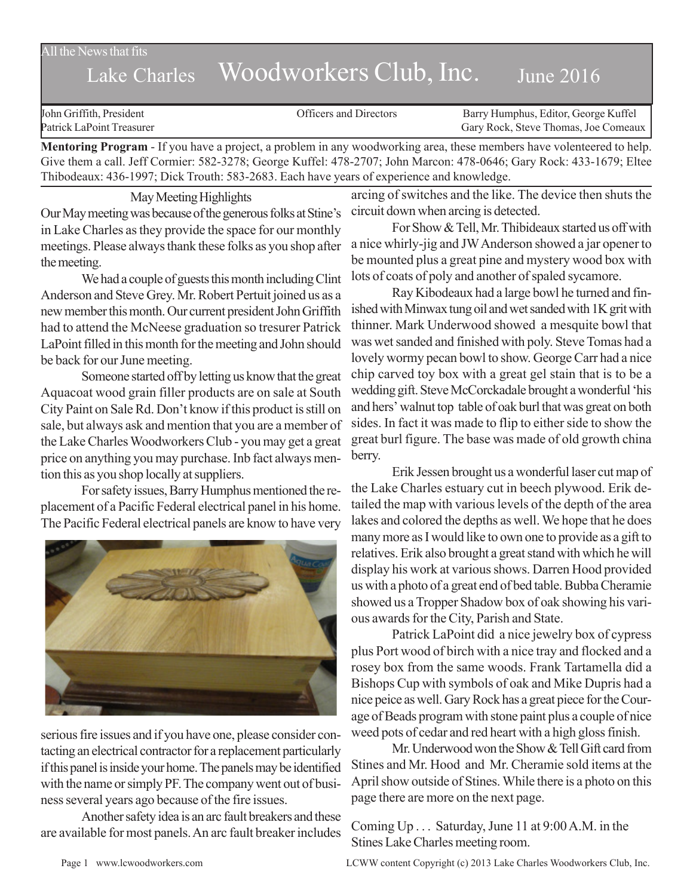All the News that fits

# Lake Charles Woodworkers Club, Inc. June 2016

| John Griffith, President  | Officers and Directors | Barry Humphus, Editor, George Kuffel |
|---------------------------|------------------------|--------------------------------------|
| Patrick LaPoint Treasurer |                        | Gary Rock, Steve Thomas, Joe Comeaux |
| $\blacksquare$            |                        |                                      |

**Mentoring Program** - If you have a project, a problem in any woodworking area, these members have volenteered to help. Give them a call. Jeff Cormier: 582-3278; George Kuffel: 478-2707; John Marcon: 478-0646; Gary Rock: 433-1679; Eltee Thibodeaux: 436-1997; Dick Trouth: 583-2683. Each have years of experience and knowledge.

May Meeting Highlights Our May meeting was because of the generous folks at Stine's in Lake Charles as they provide the space for our monthly meetings. Please always thank these folks as you shop after the meeting.

We had a couple of guests this month including Clint Anderson and Steve Grey. Mr. Robert Pertuit joined us as a new member this month. Our current president John Griffith had to attend the McNeese graduation so tresurer Patrick LaPoint filled in this month for the meeting and John should be back for our June meeting.

Someone started off by letting us know that the great Aquacoat wood grain filler products are on sale at South City Paint on Sale Rd. Don't know if this product is still on sale, but always ask and mention that you are a member of the Lake Charles Woodworkers Club - you may get a great price on anything you may purchase. Inb fact always mention this as you shop locally at suppliers.

For safety issues, Barry Humphus mentioned the replacement of a Pacific Federal electrical panel in his home. The Pacific Federal electrical panels are know to have very



serious fire issues and if you have one, please consider contacting an electrical contractor for a replacement particularly if this panel is inside your home. The panels may be identified with the name or simply PF. The company went out of business several years ago because of the fire issues.

Another safety idea is an arc fault breakers and these are available for most panels. An arc fault breaker includes

arcing of switches and the like. The device then shuts the circuit down when arcing is detected.

For Show & Tell, Mr. Thibideaux started us off with a nice whirly-jig and JWAnderson showed a jar opener to be mounted plus a great pine and mystery wood box with lots of coats of poly and another of spaled sycamore.

Ray Kibodeaux had a large bowl he turned and finished with Minwax tung oil and wet sanded with 1K grit with thinner. Mark Underwood showed a mesquite bowl that was wet sanded and finished with poly. Steve Tomas had a lovely wormy pecan bowl to show. George Carr had a nice chip carved toy box with a great gel stain that is to be a wedding gift. Steve McCorckadale brought a wonderful 'his and hers' walnut top table of oak burl that was great on both sides. In fact it was made to flip to either side to show the great burl figure. The base was made of old growth china berry.

Erik Jessen brought us a wonderful laser cut map of the Lake Charles estuary cut in beech plywood. Erik detailed the map with various levels of the depth of the area lakes and colored the depths as well. We hope that he does many more as I would like to own one to provide as a gift to relatives. Erik also brought a great stand with which he will display his work at various shows. Darren Hood provided us with a photo of a great end of bed table. Bubba Cheramie showed us a Tropper Shadow box of oak showing his various awards for the City, Parish and State.

Patrick LaPoint did a nice jewelry box of cypress plus Port wood of birch with a nice tray and flocked and a rosey box from the same woods. Frank Tartamella did a Bishops Cup with symbols of oak and Mike Dupris had a nice peice as well. Gary Rock has a great piece for the Courage of Beads program with stone paint plus a couple of nice weed pots of cedar and red heart with a high gloss finish.

Mr. Underwood won the Show & Tell Gift card from Stines and Mr. Hood and Mr. Cheramie sold items at the April show outside of Stines. While there is a photo on this page there are more on the next page.

Coming Up . . . Saturday, June 11 at 9:00 A.M. in the Stines Lake Charles meeting room.

Page 1 www.lcwoodworkers.com LCWW content Copyright (c) 2013 Lake Charles Woodworkers Club, Inc.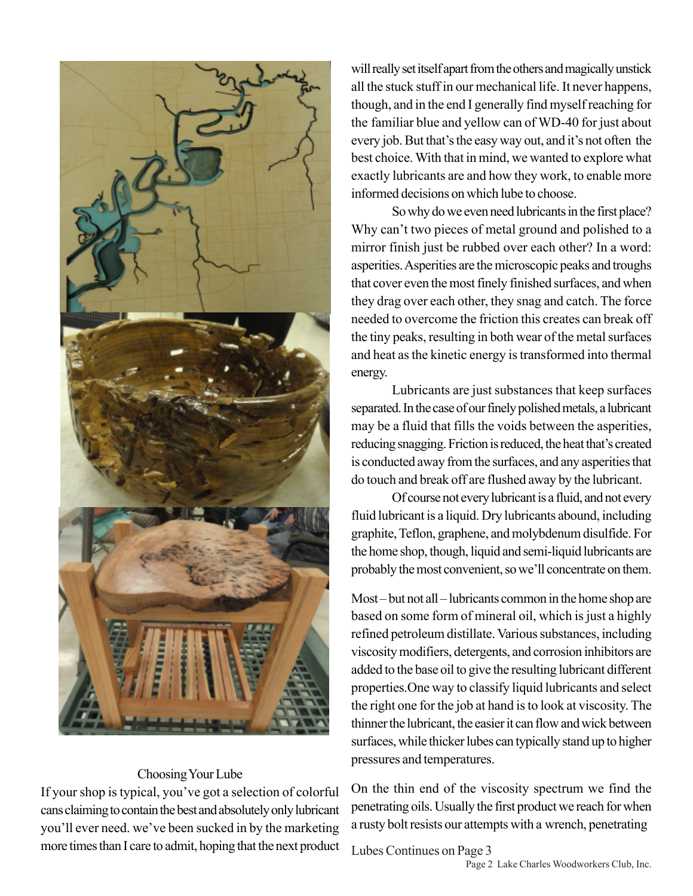

## Choosing Your Lube

If your shop is typical, you've got a selection of colorful cans claiming to contain the best and absolutely only lubricant you'll ever need. we've been sucked in by the marketing more times than I care to admit, hoping that the next product will really set itself apart from the others and magically unstick all the stuck stuff in our mechanical life. It never happens, though, and in the end I generally find myself reaching for the familiar blue and yellow can of WD-40 for just about every job. But that's the easy way out, and it's not often the best choice. With that in mind, we wanted to explore what exactly lubricants are and how they work, to enable more informed decisions on which lube to choose.

So why do we even need lubricants in the first place? Why can't two pieces of metal ground and polished to a mirror finish just be rubbed over each other? In a word: asperities. Asperities are the microscopic peaks and troughs that cover even the most finely finished surfaces, and when they drag over each other, they snag and catch. The force needed to overcome the friction this creates can break off the tiny peaks, resulting in both wear of the metal surfaces and heat as the kinetic energy is transformed into thermal energy.

Lubricants are just substances that keep surfaces separated. In the case of our finely polished metals, a lubricant may be a fluid that fills the voids between the asperities, reducing snagging. Friction is reduced, the heat that's created is conducted away from the surfaces, and any asperities that do touch and break off are flushed away by the lubricant.

Of course not every lubricant is a fluid, and not every fluid lubricant is a liquid. Dry lubricants abound, including graphite, Teflon, graphene, and molybdenum disulfide. For the home shop, though, liquid and semi-liquid lubricants are probably the most convenient, so we'll concentrate on them.

Most – but not all – lubricants common in the home shop are based on some form of mineral oil, which is just a highly refined petroleum distillate. Various substances, including viscosity modifiers, detergents, and corrosion inhibitors are added to the base oil to give the resulting lubricant different properties.One way to classify liquid lubricants and select the right one for the job at hand is to look at viscosity. The thinner the lubricant, the easier it can flow and wick between surfaces, while thicker lubes can typically stand up to higher pressures and temperatures.

On the thin end of the viscosity spectrum we find the penetrating oils. Usually the first product we reach for when a rusty bolt resists our attempts with a wrench, penetrating

#### Lubes Continues on Page 3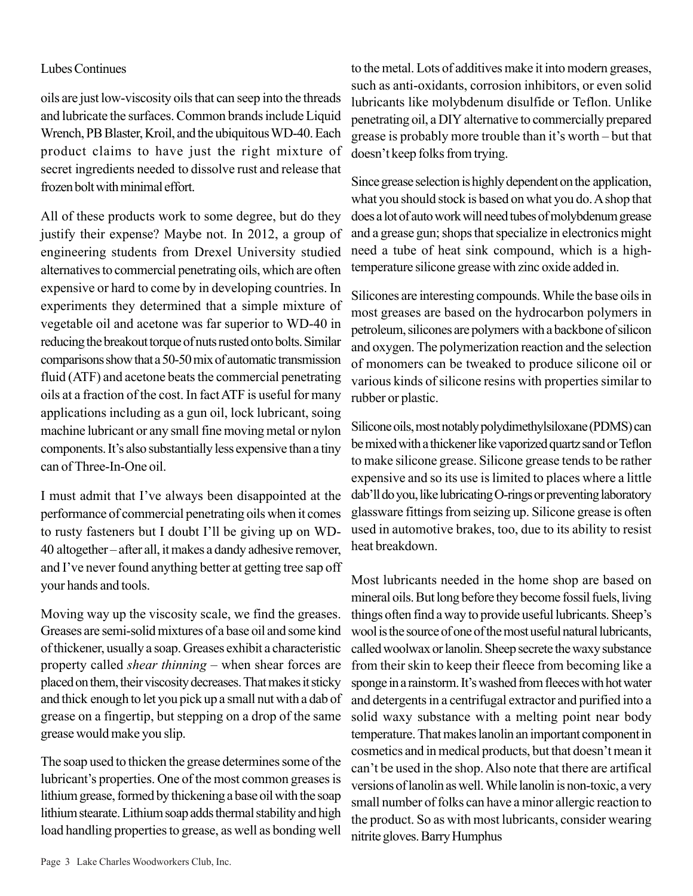### Lubes Continues

oils are just low-viscosity oils that can seep into the threads and lubricate the surfaces. Common brands include Liquid Wrench, PB Blaster, Kroil, and the ubiquitous WD-40. Each product claims to have just the right mixture of secret ingredients needed to dissolve rust and release that frozen bolt with minimal effort.

All of these products work to some degree, but do they justify their expense? Maybe not. In 2012, a group of engineering students from Drexel University studied alternatives to commercial penetrating oils, which are often expensive or hard to come by in developing countries. In experiments they determined that a simple mixture of vegetable oil and acetone was far superior to WD-40 in reducing the breakout torque of nuts rusted onto bolts. Similar comparisons show that a 50-50 mix of automatic transmission fluid (ATF) and acetone beats the commercial penetrating oils at a fraction of the cost. In fact ATF is useful for many applications including as a gun oil, lock lubricant, soing machine lubricant or any small fine moving metal or nylon components. It's also substantially less expensive than a tiny can of Three-In-One oil.

I must admit that I've always been disappointed at the performance of commercial penetrating oils when it comes to rusty fasteners but I doubt I'll be giving up on WD-40 altogether – after all, it makes a dandy adhesive remover, and I've never found anything better at getting tree sap off your hands and tools.

Moving way up the viscosity scale, we find the greases. Greases are semi-solid mixtures of a base oil and some kind of thickener, usually a soap. Greases exhibit a characteristic property called *shear thinning* – when shear forces are placed on them, their viscosity decreases. That makes it sticky and thick enough to let you pick up a small nut with a dab of grease on a fingertip, but stepping on a drop of the same grease would make you slip.

The soap used to thicken the grease determines some of the lubricant's properties. One of the most common greases is lithium grease, formed by thickening a base oil with the soap lithium stearate. Lithium soap adds thermal stability and high load handling properties to grease, as well as bonding well

to the metal. Lots of additives make it into modern greases, such as anti-oxidants, corrosion inhibitors, or even solid lubricants like molybdenum disulfide or Teflon. Unlike penetrating oil, a DIY alternative to commercially prepared grease is probably more trouble than it's worth – but that doesn't keep folks from trying.

Since grease selection is highly dependent on the application, what you should stock is based on what you do. A shop that does a lot of auto work will need tubes of molybdenum grease and a grease gun; shops that specialize in electronics might need a tube of heat sink compound, which is a hightemperature silicone grease with zinc oxide added in.

Silicones are interesting compounds. While the base oils in most greases are based on the hydrocarbon polymers in petroleum, silicones are polymers with a backbone of silicon and oxygen. The polymerization reaction and the selection of monomers can be tweaked to produce silicone oil or various kinds of silicone resins with properties similar to rubber or plastic.

Silicone oils, most notably polydimethylsiloxane (PDMS) can be mixed with a thickener like vaporized quartz sand or Teflon to make silicone grease. Silicone grease tends to be rather expensive and so its use is limited to places where a little dab'll do you, like lubricating O-rings or preventing laboratory glassware fittings from seizing up. Silicone grease is often used in automotive brakes, too, due to its ability to resist heat breakdown.

Most lubricants needed in the home shop are based on mineral oils. But long before they become fossil fuels, living things often find a way to provide useful lubricants. Sheep's wool is the source of one of the most useful natural lubricants, called woolwax or lanolin. Sheep secrete the waxy substance from their skin to keep their fleece from becoming like a sponge in a rainstorm. It's washed from fleeces with hot water and detergents in a centrifugal extractor and purified into a solid waxy substance with a melting point near body temperature. That makes lanolin an important component in cosmetics and in medical products, but that doesn't mean it can't be used in the shop. Also note that there are artifical versions of lanolin as well. While lanolin is non-toxic, a very small number of folks can have a minor allergic reaction to the product. So as with most lubricants, consider wearing nitrite gloves. Barry Humphus